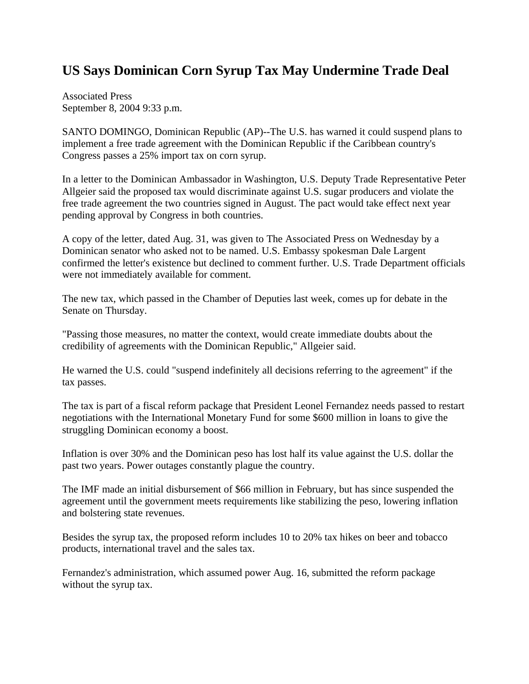## **US Says Dominican Corn Syrup Tax May Undermine Trade Deal**

Associated Press September 8, 2004 9:33 p.m.

SANTO DOMINGO, Dominican Republic (AP)--The U.S. has warned it could suspend plans to implement a free trade agreement with the Dominican Republic if the Caribbean country's Congress passes a 25% import tax on corn syrup.

In a letter to the Dominican Ambassador in Washington, U.S. Deputy Trade Representative Peter Allgeier said the proposed tax would discriminate against U.S. sugar producers and violate the free trade agreement the two countries signed in August. The pact would take effect next year pending approval by Congress in both countries.

A copy of the letter, dated Aug. 31, was given to The Associated Press on Wednesday by a Dominican senator who asked not to be named. U.S. Embassy spokesman Dale Largent confirmed the letter's existence but declined to comment further. U.S. Trade Department officials were not immediately available for comment.

The new tax, which passed in the Chamber of Deputies last week, comes up for debate in the Senate on Thursday.

"Passing those measures, no matter the context, would create immediate doubts about the credibility of agreements with the Dominican Republic," Allgeier said.

He warned the U.S. could "suspend indefinitely all decisions referring to the agreement" if the tax passes.

The tax is part of a fiscal reform package that President Leonel Fernandez needs passed to restart negotiations with the International Monetary Fund for some \$600 million in loans to give the struggling Dominican economy a boost.

Inflation is over 30% and the Dominican peso has lost half its value against the U.S. dollar the past two years. Power outages constantly plague the country.

The IMF made an initial disbursement of \$66 million in February, but has since suspended the agreement until the government meets requirements like stabilizing the peso, lowering inflation and bolstering state revenues.

Besides the syrup tax, the proposed reform includes 10 to 20% tax hikes on beer and tobacco products, international travel and the sales tax.

Fernandez's administration, which assumed power Aug. 16, submitted the reform package without the syrup tax.